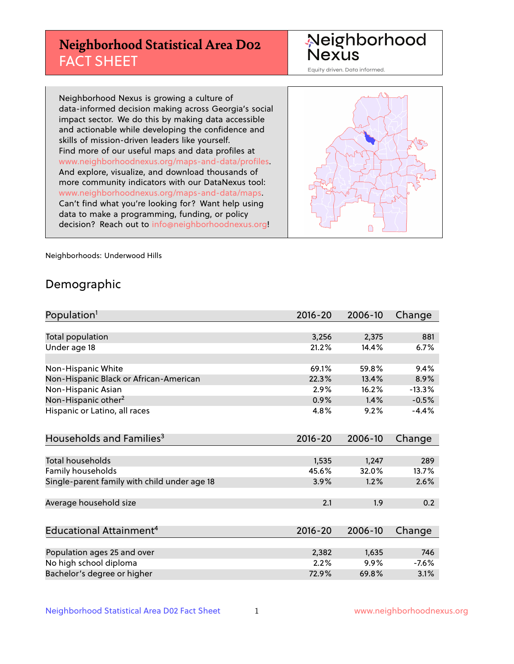# **Neighborhood Statistical Area D02** FACT SHEET

Neighborhood<br>Nexus

Equity driven. Data informed.

Neighborhood Nexus is growing a culture of data-informed decision making across Georgia's social impact sector. We do this by making data accessible and actionable while developing the confidence and skills of mission-driven leaders like yourself. Find more of our useful maps and data profiles at www.neighborhoodnexus.org/maps-and-data/profiles. And explore, visualize, and download thousands of more community indicators with our DataNexus tool: www.neighborhoodnexus.org/maps-and-data/maps. Can't find what you're looking for? Want help using data to make a programming, funding, or policy decision? Reach out to [info@neighborhoodnexus.org!](mailto:info@neighborhoodnexus.org)



Neighborhoods: Underwood Hills

### Demographic

| Population <sup>1</sup>                      | $2016 - 20$ | 2006-10 | Change   |
|----------------------------------------------|-------------|---------|----------|
|                                              |             |         |          |
| Total population                             | 3,256       | 2,375   | 881      |
| Under age 18                                 | 21.2%       | 14.4%   | 6.7%     |
|                                              |             |         |          |
| Non-Hispanic White                           | 69.1%       | 59.8%   | 9.4%     |
| Non-Hispanic Black or African-American       | 22.3%       | 13.4%   | 8.9%     |
| Non-Hispanic Asian                           | 2.9%        | 16.2%   | $-13.3%$ |
| Non-Hispanic other <sup>2</sup>              | 0.9%        | 1.4%    | $-0.5%$  |
| Hispanic or Latino, all races                | 4.8%        | 9.2%    | $-4.4%$  |
| Households and Families <sup>3</sup>         | $2016 - 20$ | 2006-10 | Change   |
|                                              |             |         |          |
| <b>Total households</b>                      | 1,535       | 1,247   | 289      |
| Family households                            | 45.6%       | 32.0%   | 13.7%    |
| Single-parent family with child under age 18 | 3.9%        | 1.2%    | 2.6%     |
| Average household size                       | 2.1         | 1.9     | 0.2      |
|                                              |             |         |          |
| Educational Attainment <sup>4</sup>          | $2016 - 20$ | 2006-10 | Change   |
|                                              |             |         |          |
| Population ages 25 and over                  | 2,382       | 1,635   | 746      |
| No high school diploma                       | 2.2%        | 9.9%    | $-7.6%$  |
| Bachelor's degree or higher                  | 72.9%       | 69.8%   | 3.1%     |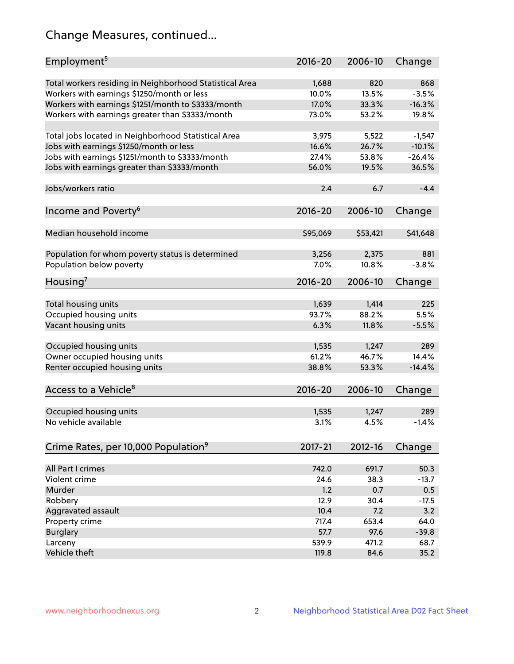# Change Measures, continued...

| Employment <sup>5</sup>                                                                               | $2016 - 20$    | 2006-10      | Change         |
|-------------------------------------------------------------------------------------------------------|----------------|--------------|----------------|
|                                                                                                       |                |              |                |
| Total workers residing in Neighborhood Statistical Area                                               | 1,688<br>10.0% | 820<br>13.5% | 868<br>$-3.5%$ |
| Workers with earnings \$1250/month or less                                                            | 17.0%          | 33.3%        | $-16.3%$       |
| Workers with earnings \$1251/month to \$3333/month<br>Workers with earnings greater than \$3333/month | 73.0%          | 53.2%        | 19.8%          |
|                                                                                                       |                |              |                |
| Total jobs located in Neighborhood Statistical Area                                                   | 3,975          | 5,522        | $-1,547$       |
| Jobs with earnings \$1250/month or less                                                               | 16.6%          | 26.7%        | $-10.1%$       |
| Jobs with earnings \$1251/month to \$3333/month                                                       | 27.4%          | 53.8%        | $-26.4%$       |
| Jobs with earnings greater than \$3333/month                                                          | 56.0%          | 19.5%        | 36.5%          |
|                                                                                                       |                |              |                |
| Jobs/workers ratio                                                                                    | 2.4            | 6.7          | $-4.4$         |
|                                                                                                       |                |              |                |
| Income and Poverty <sup>6</sup>                                                                       | 2016-20        | 2006-10      | Change         |
|                                                                                                       |                |              |                |
| Median household income                                                                               | \$95,069       | \$53,421     | \$41,648       |
|                                                                                                       |                |              |                |
| Population for whom poverty status is determined                                                      | 3,256          | 2,375        | 881            |
| Population below poverty                                                                              | 7.0%           | 10.8%        | $-3.8%$        |
|                                                                                                       |                |              |                |
| Housing <sup>7</sup>                                                                                  | $2016 - 20$    | 2006-10      | Change         |
|                                                                                                       |                |              |                |
| Total housing units                                                                                   | 1,639          | 1,414        | 225            |
| Occupied housing units                                                                                | 93.7%          | 88.2%        | 5.5%           |
| Vacant housing units                                                                                  | 6.3%           | 11.8%        | $-5.5%$        |
|                                                                                                       |                |              |                |
| Occupied housing units                                                                                | 1,535          | 1,247        | 289            |
| Owner occupied housing units                                                                          | 61.2%<br>38.8% | 46.7%        | 14.4%          |
| Renter occupied housing units                                                                         |                | 53.3%        | $-14.4%$       |
|                                                                                                       |                |              |                |
| Access to a Vehicle <sup>8</sup>                                                                      | $2016 - 20$    | 2006-10      | Change         |
|                                                                                                       |                |              |                |
| Occupied housing units<br>No vehicle available                                                        | 1,535          | 1,247        | 289            |
|                                                                                                       | 3.1%           | 4.5%         | $-1.4%$        |
|                                                                                                       |                |              |                |
| Crime Rates, per 10,000 Population <sup>9</sup>                                                       | 2017-21        | 2012-16      | Change         |
|                                                                                                       |                |              |                |
| All Part I crimes                                                                                     | 742.0          | 691.7        | 50.3           |
| Violent crime                                                                                         | 24.6           | 38.3         | $-13.7$        |
| Murder                                                                                                | 1.2            | 0.7          | 0.5            |
| Robbery                                                                                               | 12.9           | 30.4         | $-17.5$        |
| Aggravated assault                                                                                    | 10.4           | 7.2          | 3.2            |
| Property crime                                                                                        | 717.4          | 653.4        | 64.0           |
| <b>Burglary</b>                                                                                       | 57.7           | 97.6         | $-39.8$        |
| Larceny                                                                                               | 539.9          | 471.2        | 68.7           |
| Vehicle theft                                                                                         | 119.8          | 84.6         | 35.2           |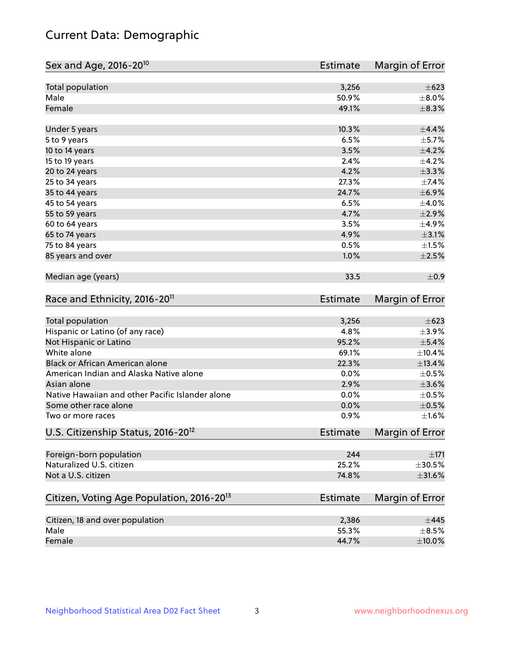# Current Data: Demographic

| Sex and Age, 2016-20 <sup>10</sup>                    | <b>Estimate</b> | Margin of Error |
|-------------------------------------------------------|-----------------|-----------------|
| Total population                                      | 3,256           | $\pm$ 623       |
| Male                                                  | 50.9%           | $\pm 8.0\%$     |
| Female                                                | 49.1%           | $\pm$ 8.3%      |
| Under 5 years                                         | 10.3%           | $\pm$ 4.4%      |
| 5 to 9 years                                          | 6.5%            | $\pm$ 5.7%      |
| 10 to 14 years                                        | 3.5%            | $\pm 4.2\%$     |
| 15 to 19 years                                        | 2.4%            | $\pm$ 4.2%      |
| 20 to 24 years                                        | 4.2%            | $\pm$ 3.3%      |
| 25 to 34 years                                        | 27.3%           | ±7.4%           |
| 35 to 44 years                                        | 24.7%           | $\pm$ 6.9%      |
| 45 to 54 years                                        | 6.5%            | $\pm$ 4.0%      |
| 55 to 59 years                                        | 4.7%            | $\pm 2.9\%$     |
| 60 to 64 years                                        | 3.5%            | ±4.9%           |
| 65 to 74 years                                        | 4.9%            | $\pm 3.1\%$     |
| 75 to 84 years                                        | 0.5%            | $\pm1.5\%$      |
| 85 years and over                                     | 1.0%            | $\pm 2.5\%$     |
| Median age (years)                                    | 33.5            | $\pm$ 0.9       |
| Race and Ethnicity, 2016-20 <sup>11</sup>             | <b>Estimate</b> | Margin of Error |
| Total population                                      | 3,256           | $\pm$ 623       |
| Hispanic or Latino (of any race)                      | 4.8%            | $\pm$ 3.9%      |
| Not Hispanic or Latino                                | 95.2%           | $\pm$ 5.4%      |
| White alone                                           | 69.1%           | ±10.4%          |
| Black or African American alone                       | 22.3%           | ±13.4%          |
| American Indian and Alaska Native alone               | 0.0%            | $\pm$ 0.5%      |
| Asian alone                                           | 2.9%            | $\pm 3.6\%$     |
| Native Hawaiian and other Pacific Islander alone      | 0.0%            | $\pm$ 0.5%      |
| Some other race alone                                 | 0.0%            | $\pm$ 0.5%      |
| Two or more races                                     | 0.9%            | $\pm1.6\%$      |
| U.S. Citizenship Status, 2016-20 <sup>12</sup>        | <b>Estimate</b> | Margin of Error |
| Foreign-born population                               | 244             | $\pm 171$       |
| Naturalized U.S. citizen                              | 25.2%           | $\pm 30.5\%$    |
| Not a U.S. citizen                                    | 74.8%           | $\pm$ 31.6%     |
| Citizen, Voting Age Population, 2016-20 <sup>13</sup> | <b>Estimate</b> | Margin of Error |
| Citizen, 18 and over population                       | 2,386           | $\pm$ 445       |
| Male                                                  | 55.3%           | $\pm$ 8.5%      |
| Female                                                | 44.7%           | $\pm 10.0\%$    |
|                                                       |                 |                 |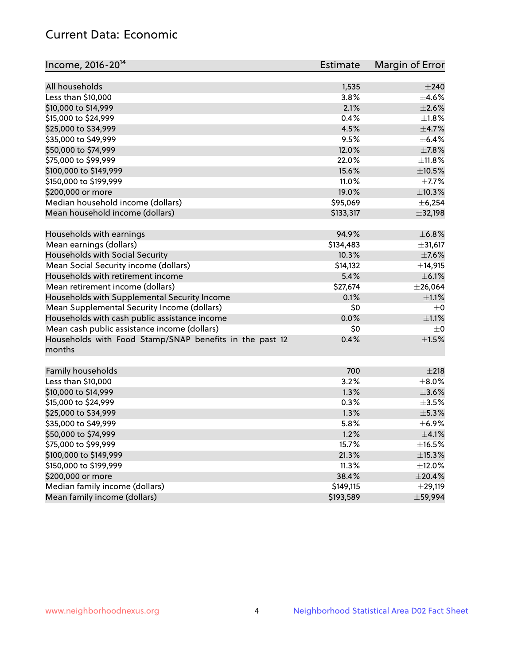# Current Data: Economic

| All households<br>$\pm 240$<br>1,535<br>Less than \$10,000<br>3.8%<br>$\pm 4.6\%$<br>2.1%<br>\$10,000 to \$14,999<br>$\pm 2.6\%$<br>\$15,000 to \$24,999<br>0.4%<br>$\pm1.8\%$<br>4.5%<br>$\pm$ 4.7%<br>\$25,000 to \$34,999<br>9.5%<br>\$35,000 to \$49,999<br>$\pm$ 6.4%<br>\$50,000 to \$74,999<br>12.0%<br>$\pm$ 7.8%<br>\$75,000 to \$99,999<br>22.0%<br>±11.8%<br>15.6%<br>\$100,000 to \$149,999<br>$\pm 10.5\%$<br>11.0%<br>$\pm$ 7.7%<br>\$150,000 to \$199,999<br>\$200,000 or more<br>19.0%<br>±10.3%<br>Median household income (dollars)<br>\$95,069<br>± 6,254<br>Mean household income (dollars)<br>\$133,317<br>±32,198<br>Households with earnings<br>94.9%<br>±6.8% |
|---------------------------------------------------------------------------------------------------------------------------------------------------------------------------------------------------------------------------------------------------------------------------------------------------------------------------------------------------------------------------------------------------------------------------------------------------------------------------------------------------------------------------------------------------------------------------------------------------------------------------------------------------------------------------------------|
|                                                                                                                                                                                                                                                                                                                                                                                                                                                                                                                                                                                                                                                                                       |
|                                                                                                                                                                                                                                                                                                                                                                                                                                                                                                                                                                                                                                                                                       |
|                                                                                                                                                                                                                                                                                                                                                                                                                                                                                                                                                                                                                                                                                       |
|                                                                                                                                                                                                                                                                                                                                                                                                                                                                                                                                                                                                                                                                                       |
|                                                                                                                                                                                                                                                                                                                                                                                                                                                                                                                                                                                                                                                                                       |
|                                                                                                                                                                                                                                                                                                                                                                                                                                                                                                                                                                                                                                                                                       |
|                                                                                                                                                                                                                                                                                                                                                                                                                                                                                                                                                                                                                                                                                       |
|                                                                                                                                                                                                                                                                                                                                                                                                                                                                                                                                                                                                                                                                                       |
|                                                                                                                                                                                                                                                                                                                                                                                                                                                                                                                                                                                                                                                                                       |
|                                                                                                                                                                                                                                                                                                                                                                                                                                                                                                                                                                                                                                                                                       |
|                                                                                                                                                                                                                                                                                                                                                                                                                                                                                                                                                                                                                                                                                       |
|                                                                                                                                                                                                                                                                                                                                                                                                                                                                                                                                                                                                                                                                                       |
|                                                                                                                                                                                                                                                                                                                                                                                                                                                                                                                                                                                                                                                                                       |
|                                                                                                                                                                                                                                                                                                                                                                                                                                                                                                                                                                                                                                                                                       |
|                                                                                                                                                                                                                                                                                                                                                                                                                                                                                                                                                                                                                                                                                       |
| \$134,483<br>Mean earnings (dollars)<br>±31,617                                                                                                                                                                                                                                                                                                                                                                                                                                                                                                                                                                                                                                       |
| Households with Social Security<br>10.3%<br>$\pm$ 7.6%                                                                                                                                                                                                                                                                                                                                                                                                                                                                                                                                                                                                                                |
| Mean Social Security income (dollars)<br>\$14,132<br>±14,915                                                                                                                                                                                                                                                                                                                                                                                                                                                                                                                                                                                                                          |
| 5.4%<br>$\pm$ 6.1%<br>Households with retirement income                                                                                                                                                                                                                                                                                                                                                                                                                                                                                                                                                                                                                               |
| Mean retirement income (dollars)<br>\$27,674<br>$±$ 26,064                                                                                                                                                                                                                                                                                                                                                                                                                                                                                                                                                                                                                            |
| Households with Supplemental Security Income<br>0.1%<br>$\pm 1.1\%$                                                                                                                                                                                                                                                                                                                                                                                                                                                                                                                                                                                                                   |
| Mean Supplemental Security Income (dollars)<br>\$0<br>$\pm$ 0                                                                                                                                                                                                                                                                                                                                                                                                                                                                                                                                                                                                                         |
| 0.0%<br>Households with cash public assistance income<br>$\pm 1.1\%$                                                                                                                                                                                                                                                                                                                                                                                                                                                                                                                                                                                                                  |
| Mean cash public assistance income (dollars)<br>\$0<br>$\pm$ 0                                                                                                                                                                                                                                                                                                                                                                                                                                                                                                                                                                                                                        |
| Households with Food Stamp/SNAP benefits in the past 12<br>$\pm1.5\%$<br>0.4%<br>months                                                                                                                                                                                                                                                                                                                                                                                                                                                                                                                                                                                               |
| Family households<br>700<br>±218                                                                                                                                                                                                                                                                                                                                                                                                                                                                                                                                                                                                                                                      |
| Less than \$10,000<br>3.2%<br>$\pm$ 8.0%                                                                                                                                                                                                                                                                                                                                                                                                                                                                                                                                                                                                                                              |
| 1.3%<br>$\pm 3.6\%$<br>\$10,000 to \$14,999                                                                                                                                                                                                                                                                                                                                                                                                                                                                                                                                                                                                                                           |
| \$15,000 to \$24,999<br>0.3%<br>$\pm$ 3.5%                                                                                                                                                                                                                                                                                                                                                                                                                                                                                                                                                                                                                                            |
| ±5.3%<br>\$25,000 to \$34,999<br>1.3%                                                                                                                                                                                                                                                                                                                                                                                                                                                                                                                                                                                                                                                 |
| 5.8%<br>$\pm$ 6.9%<br>\$35,000 to \$49,999                                                                                                                                                                                                                                                                                                                                                                                                                                                                                                                                                                                                                                            |
| \$50,000 to \$74,999<br>1.2%<br>$\pm$ 4.1%                                                                                                                                                                                                                                                                                                                                                                                                                                                                                                                                                                                                                                            |
| \$75,000 to \$99,999<br>15.7%<br>$\pm$ 16.5%                                                                                                                                                                                                                                                                                                                                                                                                                                                                                                                                                                                                                                          |
| \$100,000 to \$149,999<br>21.3%<br>±15.3%                                                                                                                                                                                                                                                                                                                                                                                                                                                                                                                                                                                                                                             |
| \$150,000 to \$199,999<br>11.3%<br>±12.0%                                                                                                                                                                                                                                                                                                                                                                                                                                                                                                                                                                                                                                             |
| \$200,000 or more<br>38.4%<br>$\pm 20.4\%$                                                                                                                                                                                                                                                                                                                                                                                                                                                                                                                                                                                                                                            |
| Median family income (dollars)<br>\$149,115<br>±29,119                                                                                                                                                                                                                                                                                                                                                                                                                                                                                                                                                                                                                                |
| Mean family income (dollars)<br>\$193,589<br>±59,994                                                                                                                                                                                                                                                                                                                                                                                                                                                                                                                                                                                                                                  |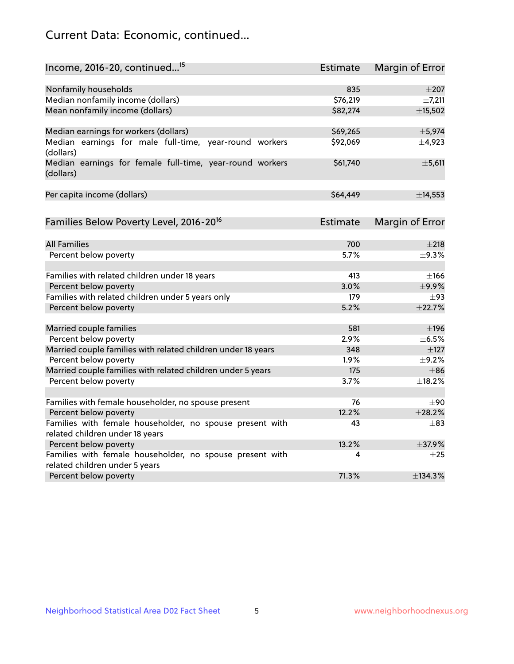# Current Data: Economic, continued...

| Income, 2016-20, continued <sup>15</sup>                              | <b>Estimate</b> | Margin of Error        |
|-----------------------------------------------------------------------|-----------------|------------------------|
|                                                                       |                 |                        |
| Nonfamily households<br>Median nonfamily income (dollars)             | 835<br>\$76,219 | $\pm 207$<br>±7,211    |
| Mean nonfamily income (dollars)                                       | \$82,274        | ±15,502                |
|                                                                       |                 |                        |
| Median earnings for workers (dollars)                                 | \$69,265        | ±5,974                 |
| Median earnings for male full-time, year-round workers<br>(dollars)   | \$92,069        | $\pm$ 4,923            |
| Median earnings for female full-time, year-round workers<br>(dollars) | \$61,740        | $\pm$ 5,611            |
| Per capita income (dollars)                                           | \$64,449        | ±14,553                |
| Families Below Poverty Level, 2016-20 <sup>16</sup>                   | <b>Estimate</b> | <b>Margin of Error</b> |
|                                                                       |                 |                        |
| <b>All Families</b>                                                   | 700             | ±218                   |
| Percent below poverty                                                 | 5.7%            | ±9.3%                  |
| Families with related children under 18 years                         | 413             | $\pm$ 166              |
| Percent below poverty                                                 | 3.0%            | ±9.9%                  |
| Families with related children under 5 years only                     | 179             | $\pm$ 93               |
| Percent below poverty                                                 | 5.2%            | ±22.7%                 |
| Married couple families                                               | 581             | $\pm$ 196              |
| Percent below poverty                                                 | 2.9%            | $\pm$ 6.5%             |
| Married couple families with related children under 18 years          | 348             | $\pm$ 127              |
| Percent below poverty                                                 | 1.9%            | $\pm$ 9.2%             |
| Married couple families with related children under 5 years           | 175             | $\pm$ 86               |
| Percent below poverty                                                 | 3.7%            | ±18.2%                 |
| Families with female householder, no spouse present                   | 76              | ±90                    |
| Percent below poverty                                                 | 12.2%           | ±28.2%                 |
| Families with female householder, no spouse present with              | 43              | $\pm$ 83               |
| related children under 18 years                                       |                 |                        |
| Percent below poverty                                                 | 13.2%           | ±37.9%                 |
| Families with female householder, no spouse present with              | 4               | $\pm 25$               |
| related children under 5 years                                        |                 |                        |
| Percent below poverty                                                 | 71.3%           | ±134.3%                |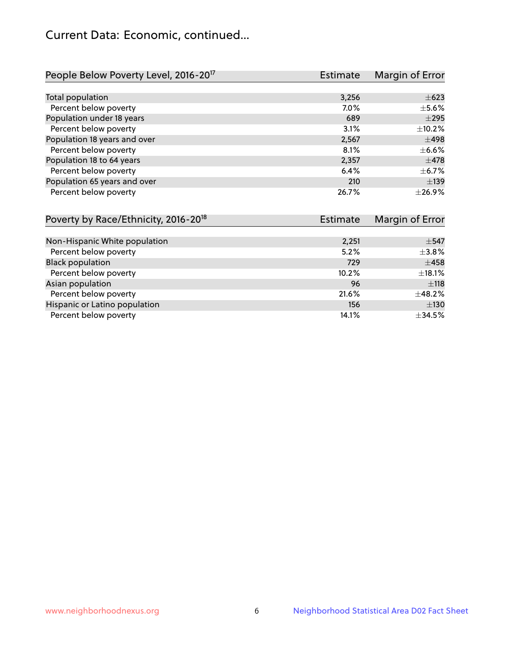# Current Data: Economic, continued...

| People Below Poverty Level, 2016-20 <sup>17</sup> | <b>Estimate</b> | Margin of Error |
|---------------------------------------------------|-----------------|-----------------|
|                                                   |                 |                 |
| Total population                                  | 3,256           | $\pm 623$       |
| Percent below poverty                             | $7.0\%$         | $\pm$ 5.6%      |
| Population under 18 years                         | 689             | $\pm 295$       |
| Percent below poverty                             | 3.1%            | ±10.2%          |
| Population 18 years and over                      | 2,567           | $\pm$ 498       |
| Percent below poverty                             | 8.1%            | $\pm$ 6.6%      |
| Population 18 to 64 years                         | 2,357           | $\pm$ 478       |
| Percent below poverty                             | 6.4%            | $\pm$ 6.7%      |
| Population 65 years and over                      | 210             | $\pm$ 139       |
| Percent below poverty                             | 26.7%           | ±26.9%          |

| Poverty by Race/Ethnicity, 2016-20 <sup>18</sup> | <b>Estimate</b> | Margin of Error |
|--------------------------------------------------|-----------------|-----------------|
|                                                  |                 |                 |
| Non-Hispanic White population                    | 2,251           | $\pm$ 547       |
| Percent below poverty                            | 5.2%            | $\pm$ 3.8%      |
| <b>Black population</b>                          | 729             | $\pm 458$       |
| Percent below poverty                            | 10.2%           | $\pm$ 18.1%     |
| Asian population                                 | 96              | ±118            |
| Percent below poverty                            | 21.6%           | ±48.2%          |
| Hispanic or Latino population                    | 156             | ±130            |
| Percent below poverty                            | 14.1%           | ±34.5%          |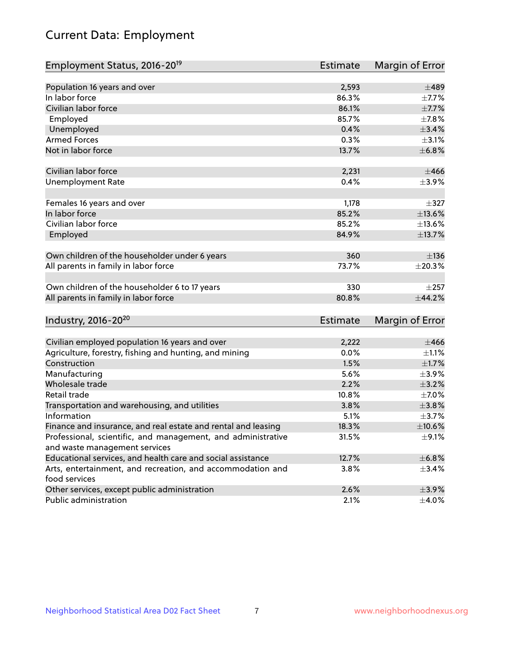# Current Data: Employment

| Employment Status, 2016-20 <sup>19</sup>                      | <b>Estimate</b> | Margin of Error |
|---------------------------------------------------------------|-----------------|-----------------|
|                                                               |                 |                 |
| Population 16 years and over                                  | 2,593           | $\pm 489$       |
| In labor force                                                | 86.3%           | $\pm$ 7.7%      |
| Civilian labor force                                          | 86.1%           | $\pm$ 7.7%      |
| Employed                                                      | 85.7%           | ±7.8%           |
| Unemployed                                                    | 0.4%            | $\pm$ 3.4%      |
| <b>Armed Forces</b>                                           | 0.3%            | $\pm$ 3.1%      |
| Not in labor force                                            | 13.7%           | ±6.8%           |
| Civilian labor force                                          | 2,231           | ±466            |
| <b>Unemployment Rate</b>                                      | 0.4%            | $\pm$ 3.9%      |
| Females 16 years and over                                     | 1,178           | $\pm$ 327       |
| In labor force                                                | 85.2%           | $\pm$ 13.6%     |
| Civilian labor force                                          | 85.2%           | ±13.6%          |
| Employed                                                      | 84.9%           | ±13.7%          |
|                                                               |                 |                 |
| Own children of the householder under 6 years                 | 360             | ±136            |
| All parents in family in labor force                          | 73.7%           | ±20.3%          |
| Own children of the householder 6 to 17 years                 | 330             | $\pm 257$       |
| All parents in family in labor force                          | 80.8%           | ±44.2%          |
|                                                               |                 |                 |
| Industry, 2016-20 <sup>20</sup>                               | <b>Estimate</b> | Margin of Error |
| Civilian employed population 16 years and over                | 2,222           | $\pm 466$       |
| Agriculture, forestry, fishing and hunting, and mining        | 0.0%            | $\pm 1.1\%$     |
| Construction                                                  | 1.5%            | $\pm 1.7\%$     |
| Manufacturing                                                 | 5.6%            | $\pm$ 3.9%      |
| Wholesale trade                                               | 2.2%            | $\pm$ 3.2%      |
| Retail trade                                                  | 10.8%           | $\pm$ 7.0%      |
| Transportation and warehousing, and utilities                 | 3.8%            | ±3.8%           |
| Information                                                   | 5.1%            | $\pm$ 3.7%      |
| Finance and insurance, and real estate and rental and leasing | 18.3%           | $\pm$ 10.6%     |
| Professional, scientific, and management, and administrative  | 31.5%           | $\pm$ 9.1%      |
| and waste management services                                 |                 |                 |
| Educational services, and health care and social assistance   | 12.7%           | ±6.8%           |
| Arts, entertainment, and recreation, and accommodation and    | 3.8%            | $\pm$ 3.4%      |
| food services                                                 |                 |                 |
| Other services, except public administration                  | 2.6%            | $\pm$ 3.9%      |
| Public administration                                         | 2.1%            | $\pm$ 4.0%      |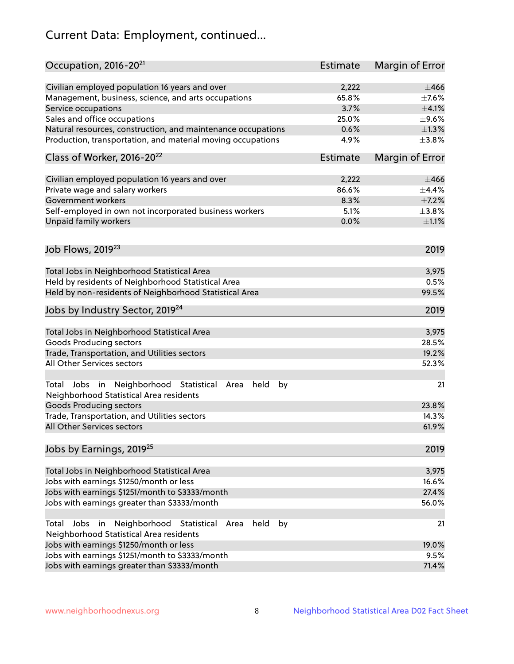# Current Data: Employment, continued...

| Occupation, 2016-20 <sup>21</sup>                                                                       | <b>Estimate</b> | Margin of Error |
|---------------------------------------------------------------------------------------------------------|-----------------|-----------------|
| Civilian employed population 16 years and over                                                          | 2,222           | $\pm 466$       |
| Management, business, science, and arts occupations                                                     | 65.8%           | $\pm$ 7.6%      |
| Service occupations                                                                                     | 3.7%            | $\pm$ 4.1%      |
| Sales and office occupations                                                                            | 25.0%           | $\pm$ 9.6%      |
| Natural resources, construction, and maintenance occupations                                            | 0.6%            | $\pm 1.3\%$     |
| Production, transportation, and material moving occupations                                             | 4.9%            | $\pm$ 3.8%      |
| Class of Worker, 2016-20 <sup>22</sup>                                                                  | <b>Estimate</b> | Margin of Error |
| Civilian employed population 16 years and over                                                          | 2,222           | $\pm 466$       |
| Private wage and salary workers                                                                         | 86.6%           | ±4.4%           |
| Government workers                                                                                      | 8.3%            | $\pm$ 7.2%      |
| Self-employed in own not incorporated business workers                                                  | 5.1%            | $\pm$ 3.8%      |
| Unpaid family workers                                                                                   | 0.0%            | $\pm 1.1\%$     |
|                                                                                                         |                 |                 |
| Job Flows, 2019 <sup>23</sup>                                                                           |                 | 2019            |
| Total Jobs in Neighborhood Statistical Area                                                             |                 | 3,975           |
| Held by residents of Neighborhood Statistical Area                                                      |                 | 0.5%            |
| Held by non-residents of Neighborhood Statistical Area                                                  |                 | 99.5%           |
| Jobs by Industry Sector, 2019 <sup>24</sup>                                                             |                 | 2019            |
| Total Jobs in Neighborhood Statistical Area                                                             |                 | 3,975           |
| <b>Goods Producing sectors</b>                                                                          |                 | 28.5%           |
| Trade, Transportation, and Utilities sectors                                                            |                 | 19.2%           |
| All Other Services sectors                                                                              |                 | 52.3%           |
| Total Jobs in Neighborhood Statistical<br>held<br>by<br>Area<br>Neighborhood Statistical Area residents |                 | 21              |
| <b>Goods Producing sectors</b>                                                                          |                 | 23.8%           |
| Trade, Transportation, and Utilities sectors                                                            |                 | 14.3%           |
| All Other Services sectors                                                                              |                 | 61.9%           |
| Jobs by Earnings, 2019 <sup>25</sup>                                                                    |                 | 2019            |
| Total Jobs in Neighborhood Statistical Area                                                             |                 | 3,975           |
| Jobs with earnings \$1250/month or less                                                                 |                 | 16.6%           |
| Jobs with earnings \$1251/month to \$3333/month                                                         |                 | 27.4%           |
| Jobs with earnings greater than \$3333/month                                                            |                 | 56.0%           |
| Neighborhood Statistical<br>Jobs<br>in<br>held<br>by<br>Total<br>Area                                   |                 | 21              |
| Neighborhood Statistical Area residents                                                                 |                 |                 |
| Jobs with earnings \$1250/month or less                                                                 |                 | 19.0%           |
| Jobs with earnings \$1251/month to \$3333/month                                                         |                 | 9.5%            |
| Jobs with earnings greater than \$3333/month                                                            |                 | 71.4%           |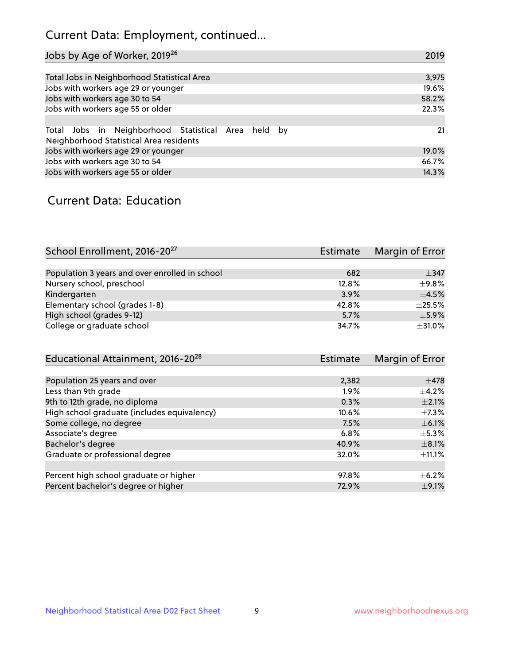# Current Data: Employment, continued...

| Jobs by Age of Worker, 2019 <sup>26</sup>                                                      | 2019  |
|------------------------------------------------------------------------------------------------|-------|
|                                                                                                |       |
| Total Jobs in Neighborhood Statistical Area                                                    | 3,975 |
| Jobs with workers age 29 or younger                                                            | 19.6% |
| Jobs with workers age 30 to 54                                                                 | 58.2% |
| Jobs with workers age 55 or older                                                              | 22.3% |
|                                                                                                |       |
| Total Jobs in Neighborhood Statistical Area held by<br>Neighborhood Statistical Area residents | 21    |
| Jobs with workers age 29 or younger                                                            | 19.0% |
| Jobs with workers age 30 to 54                                                                 | 66.7% |
| Jobs with workers age 55 or older                                                              | 14.3% |

### Current Data: Education

| School Enrollment, 2016-20 <sup>27</sup>       | <b>Estimate</b> | Margin of Error |
|------------------------------------------------|-----------------|-----------------|
|                                                |                 |                 |
| Population 3 years and over enrolled in school | 682             | $\pm$ 347       |
| Nursery school, preschool                      | 12.8%           | ±9.8%           |
| Kindergarten                                   | 3.9%            | $\pm$ 4.5%      |
| Elementary school (grades 1-8)                 | 42.8%           | $\pm 25.5\%$    |
| High school (grades 9-12)                      | 5.7%            | $\pm$ 5.9%      |
| College or graduate school                     | 34.7%           | $\pm$ 31.0%     |

| Educational Attainment, 2016-20 <sup>28</sup> | <b>Estimate</b> | Margin of Error |
|-----------------------------------------------|-----------------|-----------------|
|                                               |                 |                 |
| Population 25 years and over                  | 2,382           | $\pm$ 478       |
| Less than 9th grade                           | $1.9\%$         | $\pm$ 4.2%      |
| 9th to 12th grade, no diploma                 | 0.3%            | $\pm 2.1\%$     |
| High school graduate (includes equivalency)   | 10.6%           | $\pm$ 7.3%      |
| Some college, no degree                       | 7.5%            | $\pm$ 6.1%      |
| Associate's degree                            | 6.8%            | $\pm$ 5.3%      |
| Bachelor's degree                             | 40.9%           | $\pm$ 8.1%      |
| Graduate or professional degree               | 32.0%           | $\pm$ 11.1%     |
|                                               |                 |                 |
| Percent high school graduate or higher        | 97.8%           | $\pm$ 6.2%      |
| Percent bachelor's degree or higher           | 72.9%           | $\pm$ 9.1%      |
|                                               |                 |                 |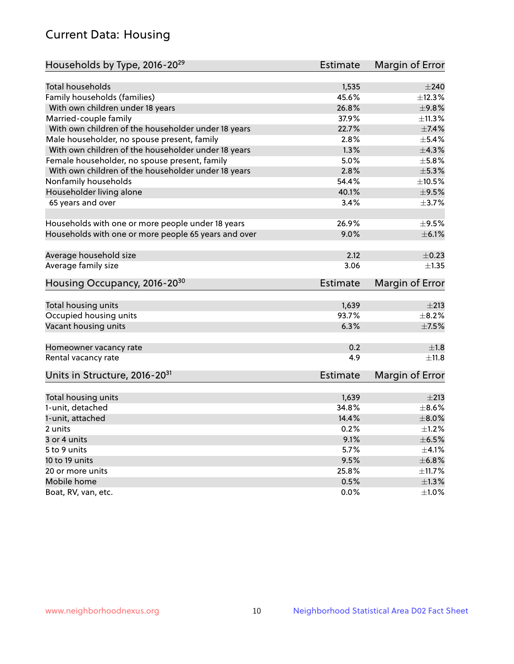# Current Data: Housing

| Households by Type, 2016-20 <sup>29</sup>            | <b>Estimate</b> | Margin of Error |
|------------------------------------------------------|-----------------|-----------------|
|                                                      |                 |                 |
| Total households                                     | 1,535           | $\pm 240$       |
| Family households (families)                         | 45.6%           | ±12.3%          |
| With own children under 18 years                     | 26.8%           | ±9.8%           |
| Married-couple family                                | 37.9%           | ±11.3%          |
| With own children of the householder under 18 years  | 22.7%           | $\pm$ 7.4%      |
| Male householder, no spouse present, family          | 2.8%            | $\pm$ 5.4%      |
| With own children of the householder under 18 years  | 1.3%            | ±4.3%           |
| Female householder, no spouse present, family        | 5.0%            | $\pm$ 5.8%      |
| With own children of the householder under 18 years  | 2.8%            | $\pm$ 5.3%      |
| Nonfamily households                                 | 54.4%           | $\pm 10.5\%$    |
| Householder living alone                             | 40.1%           | $\pm$ 9.5%      |
| 65 years and over                                    | 3.4%            | ±3.7%           |
|                                                      |                 |                 |
| Households with one or more people under 18 years    | 26.9%           | $\pm$ 9.5%      |
| Households with one or more people 65 years and over | $9.0\%$         | $\pm$ 6.1%      |
|                                                      |                 |                 |
| Average household size                               | 2.12            | $\pm$ 0.23      |
| Average family size                                  | 3.06            | ±1.35           |
| Housing Occupancy, 2016-20 <sup>30</sup>             | <b>Estimate</b> | Margin of Error |
| Total housing units                                  | 1,639           | $\pm 213$       |
| Occupied housing units                               | 93.7%           | $\pm$ 8.2%      |
|                                                      | 6.3%            | $\pm$ 7.5%      |
| Vacant housing units                                 |                 |                 |
| Homeowner vacancy rate                               | 0.2             | ±1.8            |
| Rental vacancy rate                                  | 4.9             | ±11.8           |
| Units in Structure, 2016-20 <sup>31</sup>            | Estimate        | Margin of Error |
|                                                      |                 |                 |
| Total housing units                                  | 1,639           | $\pm 213$       |
| 1-unit, detached                                     | 34.8%           | $\pm$ 8.6%      |
| 1-unit, attached                                     | 14.4%           | $\pm$ 8.0%      |
| 2 units                                              | 0.2%            | $\pm 1.2\%$     |
| 3 or 4 units                                         | 9.1%            | $\pm$ 6.5%      |
| 5 to 9 units                                         | 5.7%            | $\pm 4.1\%$     |
| 10 to 19 units                                       | 9.5%            | ±6.8%           |
| 20 or more units                                     | 25.8%           | ±11.7%          |
| Mobile home                                          | 0.5%            | $\pm 1.3\%$     |
| Boat, RV, van, etc.                                  | $0.0\%$         | $\pm 1.0\%$     |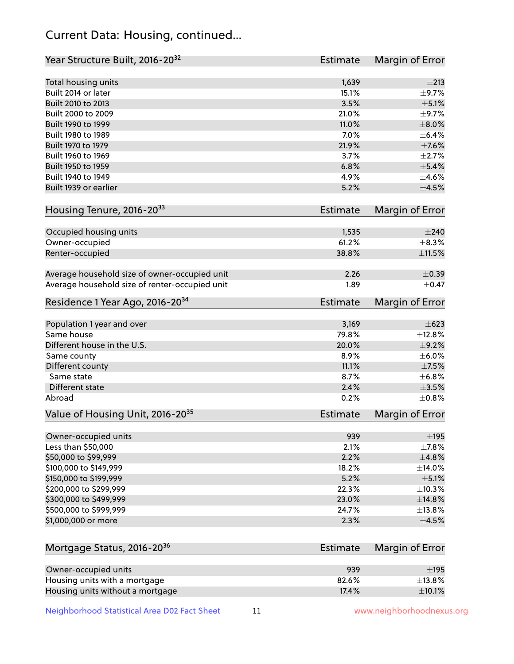# Current Data: Housing, continued...

| Year Structure Built, 2016-20 <sup>32</sup>    | <b>Estimate</b> | Margin of Error |
|------------------------------------------------|-----------------|-----------------|
| Total housing units                            | 1,639           | $\pm 213$       |
| Built 2014 or later                            | 15.1%           | $\pm$ 9.7%      |
| Built 2010 to 2013                             | 3.5%            | $\pm$ 5.1%      |
| Built 2000 to 2009                             | 21.0%           | $\pm$ 9.7%      |
| Built 1990 to 1999                             | 11.0%           | $\pm 8.0\%$     |
| Built 1980 to 1989                             | 7.0%            | $\pm$ 6.4%      |
| Built 1970 to 1979                             | 21.9%           | $\pm$ 7.6%      |
| Built 1960 to 1969                             | 3.7%            | $\pm$ 2.7%      |
| Built 1950 to 1959                             | 6.8%            | $\pm$ 5.4%      |
| Built 1940 to 1949                             | 4.9%            | $\pm 4.6\%$     |
| Built 1939 or earlier                          | 5.2%            | $\pm 4.5\%$     |
| Housing Tenure, 2016-2033                      | <b>Estimate</b> | Margin of Error |
| Occupied housing units                         | 1,535           | $\pm 240$       |
| Owner-occupied                                 | 61.2%           | ±8.3%           |
| Renter-occupied                                | 38.8%           | $\pm 11.5\%$    |
|                                                |                 |                 |
| Average household size of owner-occupied unit  | 2.26            | $\pm$ 0.39      |
| Average household size of renter-occupied unit | 1.89            | $\pm$ 0.47      |
| Residence 1 Year Ago, 2016-20 <sup>34</sup>    | <b>Estimate</b> | Margin of Error |
| Population 1 year and over                     | 3,169           | $\pm 623$       |
| Same house                                     | 79.8%           | ±12.8%          |
| Different house in the U.S.                    | 20.0%           | $\pm$ 9.2%      |
| Same county                                    | 8.9%            | $\pm$ 6.0%      |
| Different county                               | 11.1%           | $\pm$ 7.5%      |
| Same state                                     | 8.7%            | ±6.8%           |
| Different state                                | 2.4%            | $\pm 3.5\%$     |
| Abroad                                         | 0.2%            | $\pm$ 0.8%      |
| Value of Housing Unit, 2016-20 <sup>35</sup>   | <b>Estimate</b> | Margin of Error |
|                                                |                 |                 |
| Owner-occupied units                           | 939             | $\pm$ 195       |
| Less than \$50,000                             | 2.1%            | $\pm$ 7.8%      |
| \$50,000 to \$99,999                           | 2.2%            | ±4.8%           |
| \$100,000 to \$149,999                         | 18.2%           | $\pm$ 14.0%     |
| \$150,000 to \$199,999                         | 5.2%            | $\pm$ 5.1%      |
| \$200,000 to \$299,999                         | 22.3%           | ±10.3%          |
| \$300,000 to \$499,999                         | 23.0%           | ±14.8%          |
| \$500,000 to \$999,999                         | 24.7%           | ±13.8%          |
| \$1,000,000 or more                            | 2.3%            | $\pm 4.5\%$     |
| Mortgage Status, 2016-20 <sup>36</sup>         | <b>Estimate</b> | Margin of Error |
| Owner-occupied units                           | 939             | $\pm$ 195       |
| Housing units with a mortgage                  | 82.6%           | ±13.8%          |
| Housing units without a mortgage               | 17.4%           | $\pm$ 10.1%     |

Neighborhood Statistical Area D02 Fact Sheet 11 11 www.neighborhoodnexus.org

Housing units without a mortgage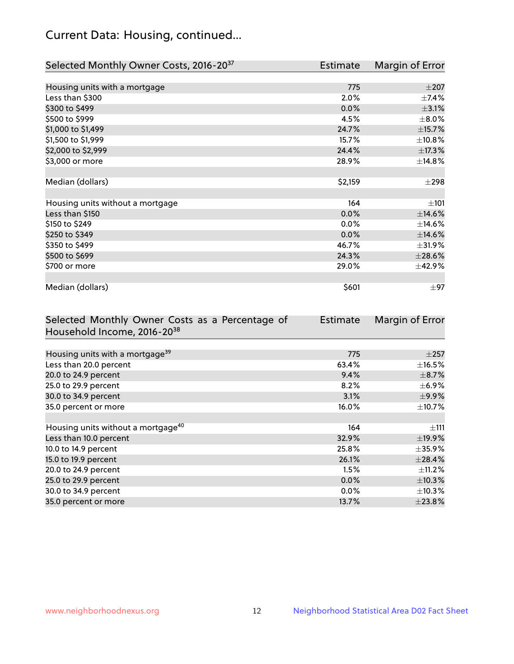# Current Data: Housing, continued...

| Selected Monthly Owner Costs, 2016-20 <sup>37</sup> | Estimate | Margin of Error |
|-----------------------------------------------------|----------|-----------------|
|                                                     |          |                 |
| Housing units with a mortgage                       | 775      | $\pm 207$       |
| Less than \$300                                     | 2.0%     | $\pm$ 7.4%      |
| \$300 to \$499                                      | 0.0%     | $\pm$ 3.1%      |
| \$500 to \$999                                      | 4.5%     | $\pm$ 8.0%      |
| \$1,000 to \$1,499                                  | 24.7%    | ±15.7%          |
| \$1,500 to \$1,999                                  | 15.7%    | ±10.8%          |
| \$2,000 to \$2,999                                  | 24.4%    | ±17.3%          |
| \$3,000 or more                                     | 28.9%    | ±14.8%          |
|                                                     |          |                 |
| Median (dollars)                                    | \$2,159  | $\pm 298$       |
|                                                     |          |                 |
| Housing units without a mortgage                    | 164      | ±101            |
| Less than \$150                                     | 0.0%     | $\pm$ 14.6%     |
| \$150 to \$249                                      | 0.0%     | ±14.6%          |
| \$250 to \$349                                      | 0.0%     | $\pm$ 14.6%     |
| \$350 to \$499                                      | 46.7%    | ±31.9%          |
| \$500 to \$699                                      | 24.3%    | $\pm 28.6\%$    |
| \$700 or more                                       | 29.0%    | ±42.9%          |
|                                                     |          |                 |
| Median (dollars)                                    | \$601    | $\pm 97$        |

| Selected Monthly Owner Costs as a Percentage of | <b>Estimate</b> | Margin of Error |
|-------------------------------------------------|-----------------|-----------------|
| Household Income, 2016-20 <sup>38</sup>         |                 |                 |
|                                                 |                 |                 |
| Housing units with a mortgage <sup>39</sup>     | 775             | $\pm 257$       |
| Less than 20.0 percent                          | 63.4%           | $\pm$ 16.5%     |
| 20.0 to 24.9 percent                            | 9.4%            | $\pm$ 8.7%      |
| 25.0 to 29.9 percent                            | 8.2%            | $\pm$ 6.9%      |
| 30.0 to 34.9 percent                            | 3.1%            | $\pm$ 9.9%      |
| 35.0 percent or more                            | 16.0%           | $\pm$ 10.7%     |
|                                                 |                 |                 |
| Housing units without a mortgage <sup>40</sup>  | 164             | $\pm$ 111       |
| Less than 10.0 percent                          | 32.9%           | ±19.9%          |
| 10.0 to 14.9 percent                            | 25.8%           | $\pm$ 35.9%     |
| 15.0 to 19.9 percent                            | 26.1%           | ±28.4%          |
| 20.0 to 24.9 percent                            | 1.5%            | $\pm$ 11.2%     |
| 25.0 to 29.9 percent                            | 0.0%            | $\pm$ 10.3%     |
| 30.0 to 34.9 percent                            | $0.0\%$         | $\pm$ 10.3%     |
| 35.0 percent or more                            | 13.7%           | $\pm 23.8\%$    |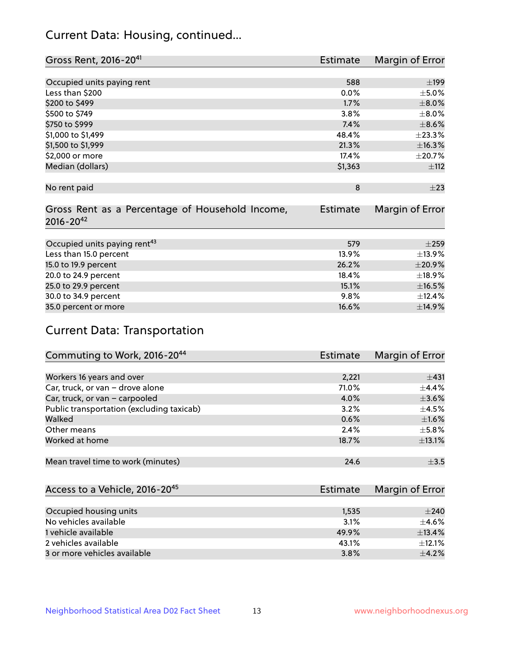# Current Data: Housing, continued...

| Gross Rent, 2016-20 <sup>41</sup>               | Estimate        | Margin of Error |
|-------------------------------------------------|-----------------|-----------------|
|                                                 |                 |                 |
| Occupied units paying rent                      | 588             | $\pm$ 199       |
| Less than \$200                                 | 0.0%            | $\pm$ 5.0%      |
| \$200 to \$499                                  | 1.7%            | $\pm 8.0\%$     |
| \$500 to \$749                                  | 3.8%            | $\pm$ 8.0%      |
| \$750 to \$999                                  | 7.4%            | $\pm$ 8.6%      |
| \$1,000 to \$1,499                              | 48.4%           | ±23.3%          |
| \$1,500 to \$1,999                              | 21.3%           | ±16.3%          |
| \$2,000 or more                                 | 17.4%           | $\pm 20.7\%$    |
| Median (dollars)                                | \$1,363         | ±112            |
|                                                 |                 |                 |
| No rent paid                                    | 8               | $\pm 23$        |
|                                                 |                 |                 |
| Gross Rent as a Percentage of Household Income, | <b>Estimate</b> | Margin of Error |
| $2016 - 20^{42}$                                |                 |                 |
|                                                 |                 |                 |
| Occupied units paying rent <sup>43</sup>        | 579             | $\pm 259$       |
| Less than 15.0 percent                          | 13.9%           | ±13.9%          |
| 15.0 to 19.9 percent                            | 26.2%           | ±20.9%          |
| 20.0 to 24.9 percent                            | 18.4%           | ±18.9%          |
| 25.0 to 29.9 percent                            | 15.1%           | $\pm$ 16.5%     |
| 30.0 to 34.9 percent                            | 9.8%            | ±12.4%          |
| 35.0 percent or more                            | 16.6%           | ±14.9%          |

# Current Data: Transportation

| Commuting to Work, 2016-20 <sup>44</sup>  | <b>Estimate</b> | Margin of Error |
|-------------------------------------------|-----------------|-----------------|
|                                           |                 |                 |
| Workers 16 years and over                 | 2,221           | ±431            |
| Car, truck, or van - drove alone          | 71.0%           | $\pm$ 4.4%      |
| Car, truck, or van - carpooled            | 4.0%            | $\pm 3.6\%$     |
| Public transportation (excluding taxicab) | 3.2%            | $\pm$ 4.5%      |
| Walked                                    | 0.6%            | $\pm1.6\%$      |
| Other means                               | 2.4%            | $\pm$ 5.8%      |
| Worked at home                            | 18.7%           | ±13.1%          |
|                                           |                 |                 |
| Mean travel time to work (minutes)        | 24.6            | $\pm$ 3.5       |

| Access to a Vehicle, 2016-20 <sup>45</sup> | Estimate | Margin of Error |
|--------------------------------------------|----------|-----------------|
|                                            |          |                 |
| Occupied housing units                     | 1,535    | $+240$          |
| No vehicles available                      | 3.1%     | $\pm$ 4.6%      |
| 1 vehicle available                        | 49.9%    | ±13.4%          |
| 2 vehicles available                       | 43.1%    | $+12.1%$        |
| 3 or more vehicles available               | 3.8%     | $+4.2%$         |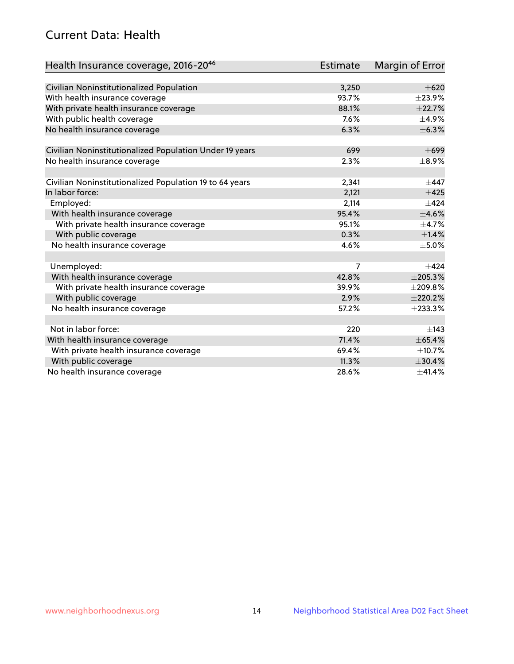# Current Data: Health

| Health Insurance coverage, 2016-2046                    | <b>Estimate</b> | Margin of Error |
|---------------------------------------------------------|-----------------|-----------------|
|                                                         |                 |                 |
| Civilian Noninstitutionalized Population                | 3,250           | $\pm 620$       |
| With health insurance coverage                          | 93.7%           | ±23.9%          |
| With private health insurance coverage                  | 88.1%           | ±22.7%          |
| With public health coverage                             | 7.6%            | $\pm$ 4.9%      |
| No health insurance coverage                            | 6.3%            | $\pm$ 6.3%      |
| Civilian Noninstitutionalized Population Under 19 years | 699             | $\pm 699$       |
| No health insurance coverage                            | 2.3%            | $\pm$ 8.9%      |
|                                                         |                 |                 |
| Civilian Noninstitutionalized Population 19 to 64 years | 2,341           | $\pm$ 447       |
| In labor force:                                         | 2,121           | $\pm 425$       |
| Employed:                                               | 2,114           | $\pm$ 424       |
| With health insurance coverage                          | 95.4%           | $\pm 4.6\%$     |
| With private health insurance coverage                  | 95.1%           | $\pm$ 4.7%      |
| With public coverage                                    | 0.3%            | $\pm$ 1.4%      |
| No health insurance coverage                            | 4.6%            | $\pm$ 5.0%      |
|                                                         |                 |                 |
| Unemployed:                                             | 7               | $+424$          |
| With health insurance coverage                          | 42.8%           | ±205.3%         |
| With private health insurance coverage                  | 39.9%           | ±209.8%         |
| With public coverage                                    | 2.9%            | ±220.2%         |
| No health insurance coverage                            | 57.2%           | $±$ 233.3%      |
|                                                         |                 |                 |
| Not in labor force:                                     | 220             | $\pm$ 143       |
| With health insurance coverage                          | 71.4%           | ±65.4%          |
| With private health insurance coverage                  | 69.4%           | ±10.7%          |
| With public coverage                                    | 11.3%           | ±30.4%          |
| No health insurance coverage                            | 28.6%           | ±41.4%          |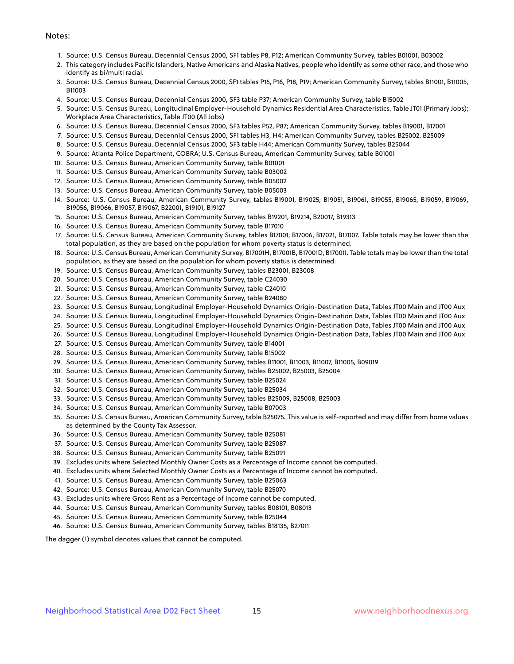#### Notes:

- 1. Source: U.S. Census Bureau, Decennial Census 2000, SF1 tables P8, P12; American Community Survey, tables B01001, B03002
- 2. This category includes Pacific Islanders, Native Americans and Alaska Natives, people who identify as some other race, and those who identify as bi/multi racial.
- 3. Source: U.S. Census Bureau, Decennial Census 2000, SF1 tables P15, P16, P18, P19; American Community Survey, tables B11001, B11005, B11003
- 4. Source: U.S. Census Bureau, Decennial Census 2000, SF3 table P37; American Community Survey, table B15002
- 5. Source: U.S. Census Bureau, Longitudinal Employer-Household Dynamics Residential Area Characteristics, Table JT01 (Primary Jobs); Workplace Area Characteristics, Table JT00 (All Jobs)
- 6. Source: U.S. Census Bureau, Decennial Census 2000, SF3 tables P52, P87; American Community Survey, tables B19001, B17001
- 7. Source: U.S. Census Bureau, Decennial Census 2000, SF1 tables H3, H4; American Community Survey, tables B25002, B25009
- 8. Source: U.S. Census Bureau, Decennial Census 2000, SF3 table H44; American Community Survey, tables B25044
- 9. Source: Atlanta Police Department, COBRA; U.S. Census Bureau, American Community Survey, table B01001
- 10. Source: U.S. Census Bureau, American Community Survey, table B01001
- 11. Source: U.S. Census Bureau, American Community Survey, table B03002
- 12. Source: U.S. Census Bureau, American Community Survey, table B05002
- 13. Source: U.S. Census Bureau, American Community Survey, table B05003
- 14. Source: U.S. Census Bureau, American Community Survey, tables B19001, B19025, B19051, B19061, B19055, B19065, B19059, B19069, B19056, B19066, B19057, B19067, B22001, B19101, B19127
- 15. Source: U.S. Census Bureau, American Community Survey, tables B19201, B19214, B20017, B19313
- 16. Source: U.S. Census Bureau, American Community Survey, table B17010
- 17. Source: U.S. Census Bureau, American Community Survey, tables B17001, B17006, B17021, B17007. Table totals may be lower than the total population, as they are based on the population for whom poverty status is determined.
- 18. Source: U.S. Census Bureau, American Community Survey, B17001H, B17001B, B17001D, B17001I. Table totals may be lower than the total population, as they are based on the population for whom poverty status is determined.
- 19. Source: U.S. Census Bureau, American Community Survey, tables B23001, B23008
- 20. Source: U.S. Census Bureau, American Community Survey, table C24030
- 21. Source: U.S. Census Bureau, American Community Survey, table C24010
- 22. Source: U.S. Census Bureau, American Community Survey, table B24080
- 23. Source: U.S. Census Bureau, Longitudinal Employer-Household Dynamics Origin-Destination Data, Tables JT00 Main and JT00 Aux
- 24. Source: U.S. Census Bureau, Longitudinal Employer-Household Dynamics Origin-Destination Data, Tables JT00 Main and JT00 Aux
- 25. Source: U.S. Census Bureau, Longitudinal Employer-Household Dynamics Origin-Destination Data, Tables JT00 Main and JT00 Aux
- 26. Source: U.S. Census Bureau, Longitudinal Employer-Household Dynamics Origin-Destination Data, Tables JT00 Main and JT00 Aux
- 27. Source: U.S. Census Bureau, American Community Survey, table B14001
- 28. Source: U.S. Census Bureau, American Community Survey, table B15002
- 29. Source: U.S. Census Bureau, American Community Survey, tables B11001, B11003, B11007, B11005, B09019
- 30. Source: U.S. Census Bureau, American Community Survey, tables B25002, B25003, B25004
- 31. Source: U.S. Census Bureau, American Community Survey, table B25024
- 32. Source: U.S. Census Bureau, American Community Survey, table B25034
- 33. Source: U.S. Census Bureau, American Community Survey, tables B25009, B25008, B25003
- 34. Source: U.S. Census Bureau, American Community Survey, table B07003
- 35. Source: U.S. Census Bureau, American Community Survey, table B25075. This value is self-reported and may differ from home values as determined by the County Tax Assessor.
- 36. Source: U.S. Census Bureau, American Community Survey, table B25081
- 37. Source: U.S. Census Bureau, American Community Survey, table B25087
- 38. Source: U.S. Census Bureau, American Community Survey, table B25091
- 39. Excludes units where Selected Monthly Owner Costs as a Percentage of Income cannot be computed.
- 40. Excludes units where Selected Monthly Owner Costs as a Percentage of Income cannot be computed.
- 41. Source: U.S. Census Bureau, American Community Survey, table B25063
- 42. Source: U.S. Census Bureau, American Community Survey, table B25070
- 43. Excludes units where Gross Rent as a Percentage of Income cannot be computed.
- 44. Source: U.S. Census Bureau, American Community Survey, tables B08101, B08013
- 45. Source: U.S. Census Bureau, American Community Survey, table B25044
- 46. Source: U.S. Census Bureau, American Community Survey, tables B18135, B27011

The dagger (†) symbol denotes values that cannot be computed.